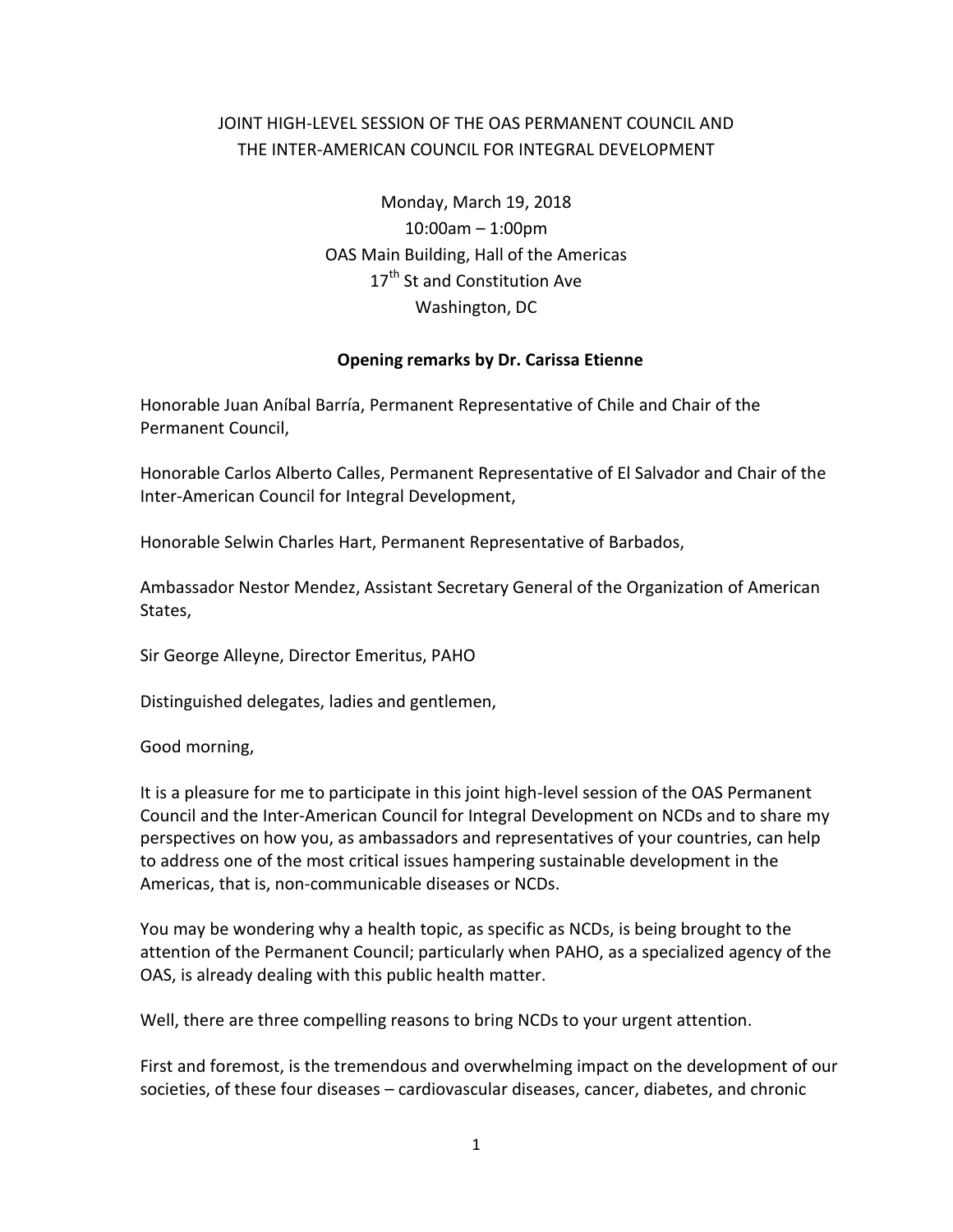## JOINT HIGH-LEVEL SESSION OF THE OAS PERMANENT COUNCIL AND THE INTER-AMERICAN COUNCIL FOR INTEGRAL DEVELOPMENT

Monday, March 19, 2018 10:00am – 1:00pm OAS Main Building, Hall of the Americas 17<sup>th</sup> St and Constitution Ave Washington, DC

## **Opening remarks by Dr. Carissa Etienne**

Honorable Juan Aníbal Barría, Permanent Representative of Chile and Chair of the Permanent Council,

Honorable Carlos Alberto Calles, Permanent Representative of El Salvador and Chair of the Inter-American Council for Integral Development,

Honorable Selwin Charles Hart, Permanent Representative of Barbados,

Ambassador Nestor Mendez, Assistant Secretary General of the Organization of American States,

Sir George Alleyne, Director Emeritus, PAHO

Distinguished delegates, ladies and gentlemen,

Good morning,

It is a pleasure for me to participate in this joint high-level session of the OAS Permanent Council and the Inter-American Council for Integral Development on NCDs and to share my perspectives on how you, as ambassadors and representatives of your countries, can help to address one of the most critical issues hampering sustainable development in the Americas, that is, non-communicable diseases or NCDs.

You may be wondering why a health topic, as specific as NCDs, is being brought to the attention of the Permanent Council; particularly when PAHO, as a specialized agency of the OAS, is already dealing with this public health matter.

Well, there are three compelling reasons to bring NCDs to your urgent attention.

First and foremost, is the tremendous and overwhelming impact on the development of our societies, of these four diseases – cardiovascular diseases, cancer, diabetes, and chronic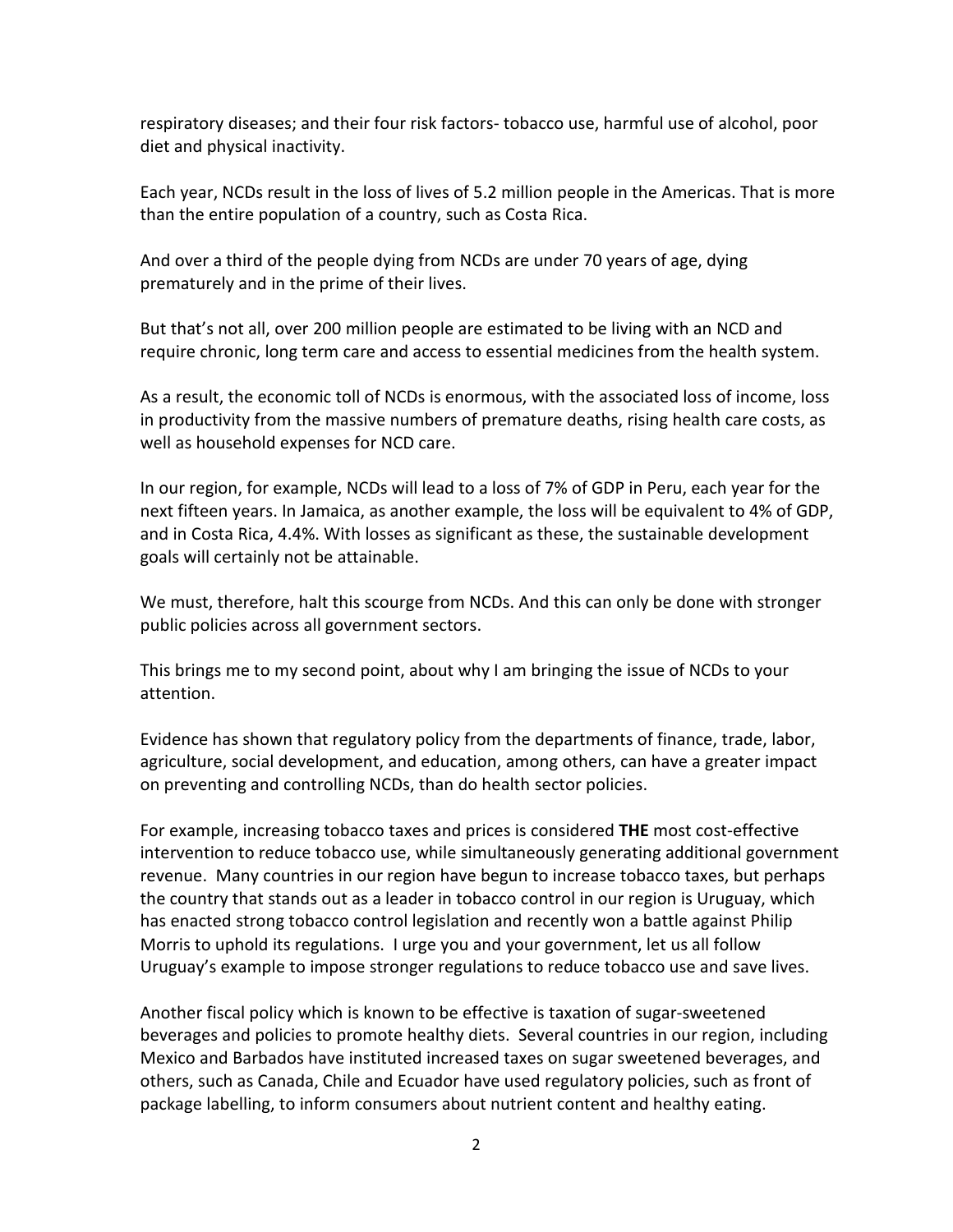respiratory diseases; and their four risk factors- tobacco use, harmful use of alcohol, poor diet and physical inactivity.

Each year, NCDs result in the loss of lives of 5.2 million people in the Americas. That is more than the entire population of a country, such as Costa Rica.

And over a third of the people dying from NCDs are under 70 years of age, dying prematurely and in the prime of their lives.

But that's not all, over 200 million people are estimated to be living with an NCD and require chronic, long term care and access to essential medicines from the health system.

As a result, the economic toll of NCDs is enormous, with the associated loss of income, loss in productivity from the massive numbers of premature deaths, rising health care costs, as well as household expenses for NCD care.

In our region, for example, NCDs will lead to a loss of 7% of GDP in Peru, each year for the next fifteen years. In Jamaica, as another example, the loss will be equivalent to 4% of GDP, and in Costa Rica, 4.4%. With losses as significant as these, the sustainable development goals will certainly not be attainable.

We must, therefore, halt this scourge from NCDs. And this can only be done with stronger public policies across all government sectors.

This brings me to my second point, about why I am bringing the issue of NCDs to your attention.

Evidence has shown that regulatory policy from the departments of finance, trade, labor, agriculture, social development, and education, among others, can have a greater impact on preventing and controlling NCDs, than do health sector policies.

For example, increasing tobacco taxes and prices is considered **THE** most cost-effective intervention to reduce tobacco use, while simultaneously generating additional government revenue. Many countries in our region have begun to increase tobacco taxes, but perhaps the country that stands out as a leader in tobacco control in our region is Uruguay, which has enacted strong tobacco control legislation and recently won a battle against Philip Morris to uphold its regulations. I urge you and your government, let us all follow Uruguay's example to impose stronger regulations to reduce tobacco use and save lives.

Another fiscal policy which is known to be effective is taxation of sugar-sweetened beverages and policies to promote healthy diets. Several countries in our region, including Mexico and Barbados have instituted increased taxes on sugar sweetened beverages, and others, such as Canada, Chile and Ecuador have used regulatory policies, such as front of package labelling, to inform consumers about nutrient content and healthy eating.